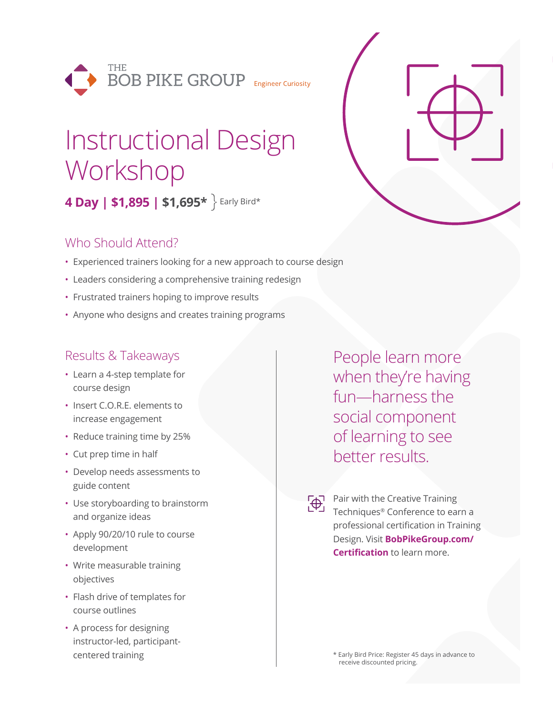

# Instructional Design Workshop

**4 Day | \$1,895 | \$1,695\*** Early Bird\*

### Who Should Attend?

- Experienced trainers looking for a new approach to course design
- Leaders considering a comprehensive training redesign
- Frustrated trainers hoping to improve results
- Anyone who designs and creates training programs

#### Results & Takeaways

- Learn a 4-step template for course design
- Insert C.O.R.E. elements to increase engagement
- Reduce training time by 25%
- Cut prep time in half
- Develop needs assessments to guide content
- Use storyboarding to brainstorm and organize ideas
- Apply 90/20/10 rule to course development
- Write measurable training objectives
- Flash drive of templates for course outlines
- A process for designing instructor-led, participantcentered training

People learn more when they're having fun—harness the social component of learning to see better results.

Pair with the Creative Training Techniques® Conference to earn a professional certification in Training Design. Visit **BobPikeGroup.com/ Certification** to learn more.

> \* Early Bird Price: Register 45 days in advance to receive discounted pricing.